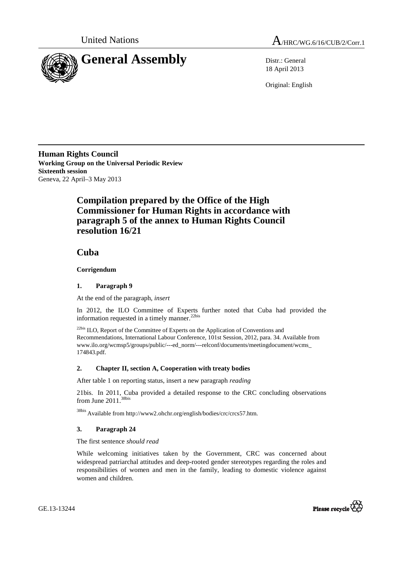



18 April 2013

Original: English

**Human Rights Council Working Group on the Universal Periodic Review Sixteenth session**  Geneva, 22 April–3 May 2013

# **Compilation prepared by the Office of the High Commissioner for Human Rights in accordance with paragraph 5 of the annex to Human Rights Council resolution 16/21**

 **Cuba** 

## **Corrigendum**

### **1. Paragraph 9**

At the end of the paragraph, *insert*

In 2012, the ILO Committee of Experts further noted that Cuba had provided the information requested in a timely manner.<sup>22bis</sup>

22bis ILO, Report of the Committee of Experts on the Application of Conventions and Recommendations, International Labour Conference, 101st Session, 2012, para. 34. Available from www.ilo.org/wcmsp5/groups/public/---ed\_norm/---relconf/documents/meetingdocument/wcms\_ 174843.pdf.

## **2. Chapter II, section A, Cooperation with treaty bodies**

After table 1 on reporting status, insert a new paragraph *reading*

21bis. In 2011, Cuba provided a detailed response to the CRC concluding observations from June  $2011$ .<sup>38bis</sup>

38bis Available from http://www2.ohchr.org/english/bodies/crc/crcs57.htm.

#### **3. Paragraph 24**

The first sentence *should read* 

While welcoming initiatives taken by the Government, CRC was concerned about widespread patriarchal attitudes and deep-rooted gender stereotypes regarding the roles and responsibilities of women and men in the family, leading to domestic violence against women and children.